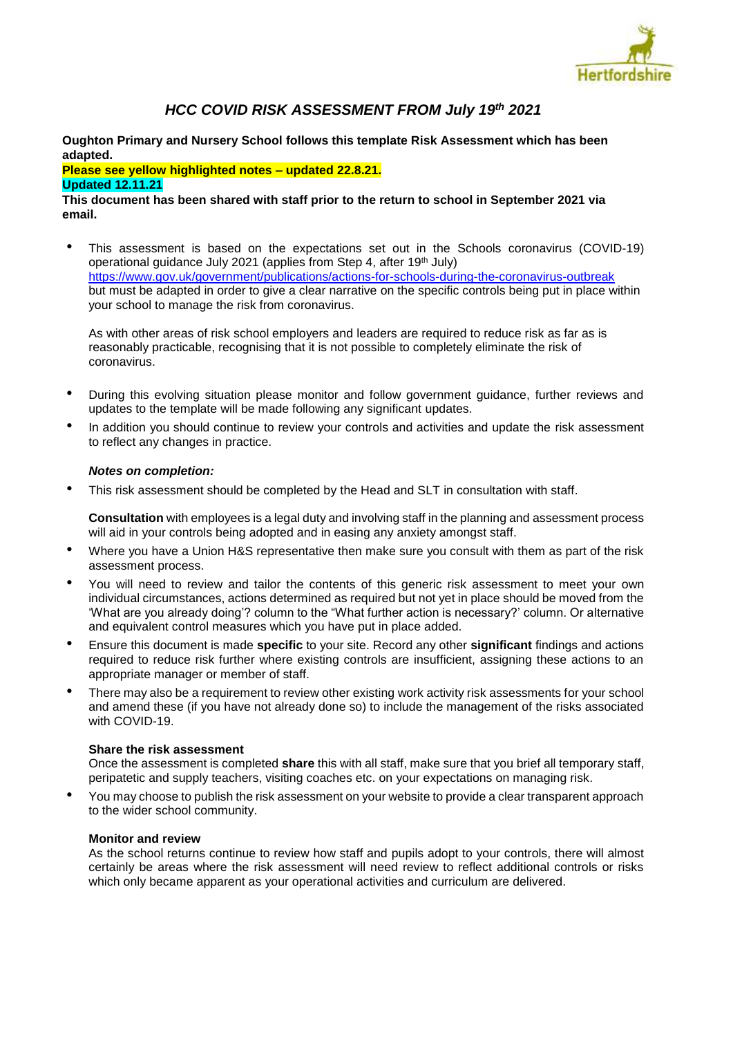

# *HCC COVID RISK ASSESSMENT FROM July 19th 2021*

**Oughton Primary and Nursery School follows this template Risk Assessment which has been adapted.** 

**Please see yellow highlighted notes – updated 22.8.21. Updated 12.11.21**

## **This document has been shared with staff prior to the return to school in September 2021 via email.**

• This assessment is based on the expectations set out in the Schools coronavirus (COVID-19) operational guidance July 2021 (applies from Step 4, after 19<sup>th</sup> July) <https://www.gov.uk/government/publications/actions-for-schools-during-the-coronavirus-outbreak> but must be adapted in order to give a clear narrative on the specific controls being put in place within your school to manage the risk from coronavirus.

As with other areas of risk school employers and leaders are required to reduce risk as far as is reasonably practicable, recognising that it is not possible to completely eliminate the risk of coronavirus.

- During this evolving situation please monitor and follow government guidance, further reviews and updates to the template will be made following any significant updates.
- In addition you should continue to review your controls and activities and update the risk assessment to reflect any changes in practice.

## *Notes on completion:*

• This risk assessment should be completed by the Head and SLT in consultation with staff.

**Consultation** with employees is a legal duty and involving staff in the planning and assessment process will aid in your controls being adopted and in easing any anxiety amongst staff.

- Where you have a Union H&S representative then make sure you consult with them as part of the risk assessment process.
- You will need to review and tailor the contents of this generic risk assessment to meet your own individual circumstances, actions determined as required but not yet in place should be moved from the 'What are you already doing'? column to the "What further action is necessary?' column. Or alternative and equivalent control measures which you have put in place added.
- Ensure this document is made **specific** to your site. Record any other **significant** findings and actions required to reduce risk further where existing controls are insufficient, assigning these actions to an appropriate manager or member of staff.
- There may also be a requirement to review other existing work activity risk assessments for your school and amend these (if you have not already done so) to include the management of the risks associated with COVID-19.

## **Share the risk assessment**

Once the assessment is completed **share** this with all staff, make sure that you brief all temporary staff, peripatetic and supply teachers, visiting coaches etc. on your expectations on managing risk.

• You may choose to publish the risk assessment on your website to provide a clear transparent approach to the wider school community.

### **Monitor and review**

As the school returns continue to review how staff and pupils adopt to your controls, there will almost certainly be areas where the risk assessment will need review to reflect additional controls or risks which only became apparent as your operational activities and curriculum are delivered.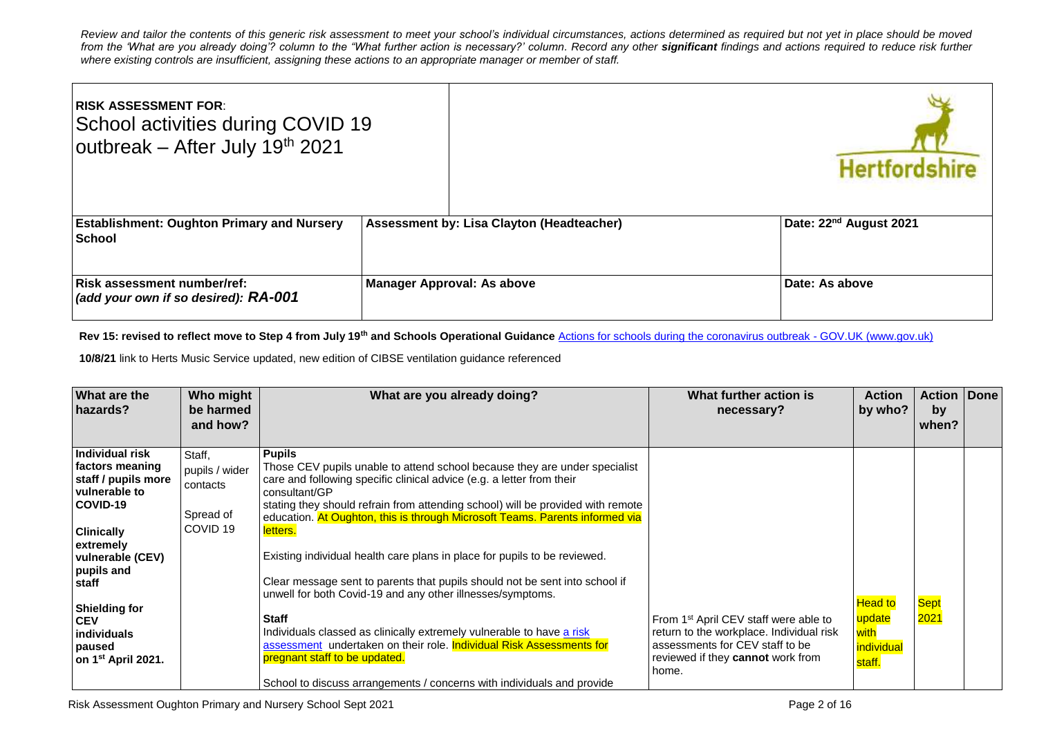*Review and tailor the contents of this generic risk assessment to meet your school's individual circumstances, actions determined as required but not yet in place should be moved*  from the 'What are you already doing'? column to the "What further action is necessary?' column. Record any other **significant** findings and actions required to reduce risk further *where existing controls are insufficient, assigning these actions to an appropriate manager or member of staff.* 

| <b>IRISK ASSESSMENT FOR:</b><br>School activities during COVID 19<br>outbreak - After July 19th 2021 |                                           | <b>Hertfordshire</b>               |
|------------------------------------------------------------------------------------------------------|-------------------------------------------|------------------------------------|
| <b>Establishment: Oughton Primary and Nursery</b><br><b>School</b>                                   | Assessment by: Lisa Clayton (Headteacher) | Date: 22 <sup>nd</sup> August 2021 |
| <b>Risk assessment number/ref:</b><br>(add your own if so desired): RA-001                           | <b>Manager Approval: As above</b>         | Date: As above                     |

Rev 15: revised to reflect move to Step 4 from July 19<sup>th</sup> and Schools Operational Guidance **[Actions for schools during the coronavirus outbreak -](https://www.gov.uk/government/publications/actions-for-schools-during-the-coronavirus-outbreak) GOV.UK (www.gov.uk)** 

**10/8/21** link to Herts Music Service updated, new edition of CIBSE ventilation guidance referenced

| What are the<br>hazards?                                                                                                                                                                                                                                                    | Who might<br>be harmed<br>and how?                                       | What are you already doing?                                                                                                                                                                                                                                                                                                                                                                                                                                                                                                                                                                                                                                                                                                                                                                                                                                                | What further action is<br>necessary?                                                                                                                                           | <b>Action</b><br>by who?                                 | <b>Action Done</b><br>by<br>when? |  |
|-----------------------------------------------------------------------------------------------------------------------------------------------------------------------------------------------------------------------------------------------------------------------------|--------------------------------------------------------------------------|----------------------------------------------------------------------------------------------------------------------------------------------------------------------------------------------------------------------------------------------------------------------------------------------------------------------------------------------------------------------------------------------------------------------------------------------------------------------------------------------------------------------------------------------------------------------------------------------------------------------------------------------------------------------------------------------------------------------------------------------------------------------------------------------------------------------------------------------------------------------------|--------------------------------------------------------------------------------------------------------------------------------------------------------------------------------|----------------------------------------------------------|-----------------------------------|--|
| Individual risk<br>factors meaning<br>staff / pupils more<br>vulnerable to<br>COVID-19<br><b>Clinically</b><br>extremely<br>vulnerable (CEV)<br>pupils and<br>staff<br><b>Shielding for</b><br><b>CEV</b><br><b>individuals</b><br>paused<br>on 1 <sup>st</sup> April 2021. | Staff.<br>pupils / wider<br>contacts<br>Spread of<br>COVID <sub>19</sub> | <b>Pupils</b><br>Those CEV pupils unable to attend school because they are under specialist<br>care and following specific clinical advice (e.g. a letter from their<br>consultant/GP<br>stating they should refrain from attending school) will be provided with remote<br>education. At Oughton, this is through Microsoft Teams. Parents informed via<br>letters.<br>Existing individual health care plans in place for pupils to be reviewed.<br>Clear message sent to parents that pupils should not be sent into school if<br>unwell for both Covid-19 and any other illnesses/symptoms.<br><b>Staff</b><br>Individuals classed as clinically extremely vulnerable to have a risk<br>assessment undertaken on their role. Individual Risk Assessments for<br>pregnant staff to be updated.<br>School to discuss arrangements / concerns with individuals and provide | From 1 <sup>st</sup> April CEV staff were able to<br>return to the workplace. Individual risk<br>assessments for CEV staff to be<br>reviewed if they cannot work from<br>home. | <b>Head to</b><br>update<br>with<br>individual<br>staff. | <b>Sept</b><br>2021               |  |
|                                                                                                                                                                                                                                                                             |                                                                          |                                                                                                                                                                                                                                                                                                                                                                                                                                                                                                                                                                                                                                                                                                                                                                                                                                                                            |                                                                                                                                                                                |                                                          |                                   |  |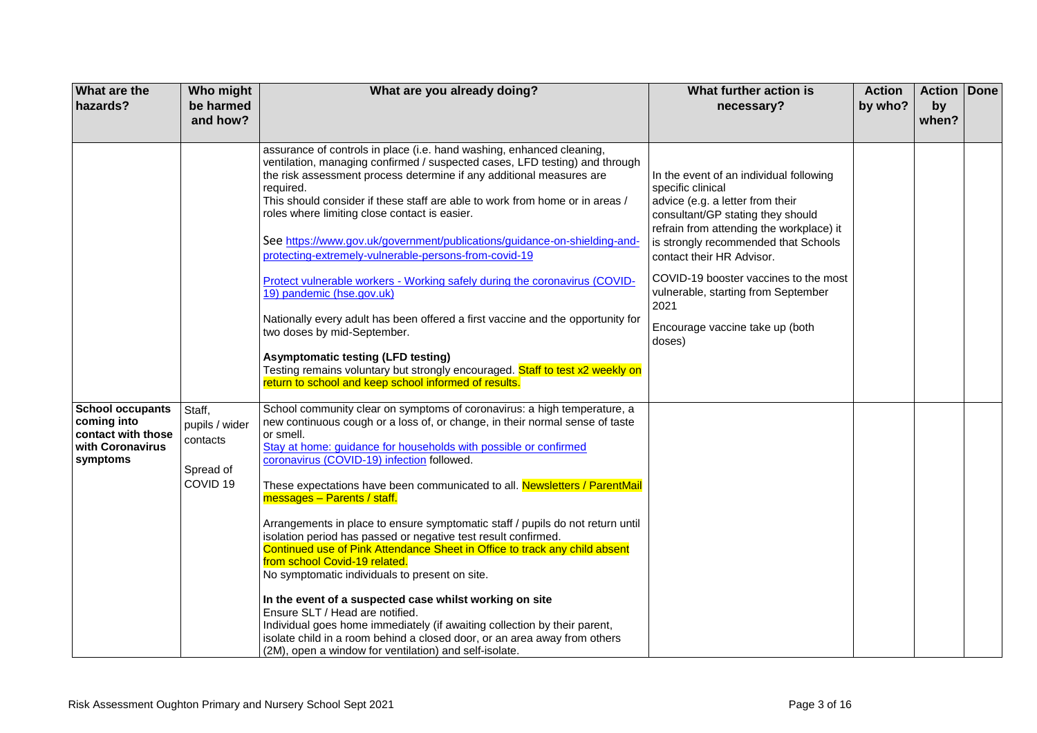| <b>What are the</b><br>hazards?                                                              | Who might<br>be harmed<br>and how?                                       | What are you already doing?                                                                                                                                                                                                                                                                                                                                                                                                                                                                                                                                                                                                                                                                                                                                                                                                                                                                                                                                                                                                                 | What further action is<br>necessary?                                                                                                                                                                                                                                                                                                                                                        | <b>Action</b><br>by who? | <b>Action Done</b><br>by<br>when? |  |
|----------------------------------------------------------------------------------------------|--------------------------------------------------------------------------|---------------------------------------------------------------------------------------------------------------------------------------------------------------------------------------------------------------------------------------------------------------------------------------------------------------------------------------------------------------------------------------------------------------------------------------------------------------------------------------------------------------------------------------------------------------------------------------------------------------------------------------------------------------------------------------------------------------------------------------------------------------------------------------------------------------------------------------------------------------------------------------------------------------------------------------------------------------------------------------------------------------------------------------------|---------------------------------------------------------------------------------------------------------------------------------------------------------------------------------------------------------------------------------------------------------------------------------------------------------------------------------------------------------------------------------------------|--------------------------|-----------------------------------|--|
|                                                                                              |                                                                          | assurance of controls in place (i.e. hand washing, enhanced cleaning,<br>ventilation, managing confirmed / suspected cases, LFD testing) and through<br>the risk assessment process determine if any additional measures are<br>required.<br>This should consider if these staff are able to work from home or in areas /<br>roles where limiting close contact is easier.<br>See https://www.gov.uk/government/publications/guidance-on-shielding-and-<br>protecting-extremely-vulnerable-persons-from-covid-19<br>Protect vulnerable workers - Working safely during the coronavirus (COVID-<br>19) pandemic (hse.gov.uk)<br>Nationally every adult has been offered a first vaccine and the opportunity for<br>two doses by mid-September.<br><b>Asymptomatic testing (LFD testing)</b><br>Testing remains voluntary but strongly encouraged. Staff to test x2 weekly on<br>return to school and keep school informed of results.                                                                                                        | In the event of an individual following<br>specific clinical<br>advice (e.g. a letter from their<br>consultant/GP stating they should<br>refrain from attending the workplace) it<br>is strongly recommended that Schools<br>contact their HR Advisor.<br>COVID-19 booster vaccines to the most<br>vulnerable, starting from September<br>2021<br>Encourage vaccine take up (both<br>doses) |                          |                                   |  |
| <b>School occupants</b><br>coming into<br>contact with those<br>with Coronavirus<br>symptoms | Staff,<br>pupils / wider<br>contacts<br>Spread of<br>COVID <sub>19</sub> | School community clear on symptoms of coronavirus: a high temperature, a<br>new continuous cough or a loss of, or change, in their normal sense of taste<br>or smell.<br>Stay at home: guidance for households with possible or confirmed<br>coronavirus (COVID-19) infection followed.<br>These expectations have been communicated to all. Newsletters / ParentMail<br>messages - Parents / staff.<br>Arrangements in place to ensure symptomatic staff / pupils do not return until<br>isolation period has passed or negative test result confirmed.<br>Continued use of Pink Attendance Sheet in Office to track any child absent<br>from school Covid-19 related.<br>No symptomatic individuals to present on site.<br>In the event of a suspected case whilst working on site<br>Ensure SLT / Head are notified.<br>Individual goes home immediately (if awaiting collection by their parent,<br>isolate child in a room behind a closed door, or an area away from others<br>(2M), open a window for ventilation) and self-isolate. |                                                                                                                                                                                                                                                                                                                                                                                             |                          |                                   |  |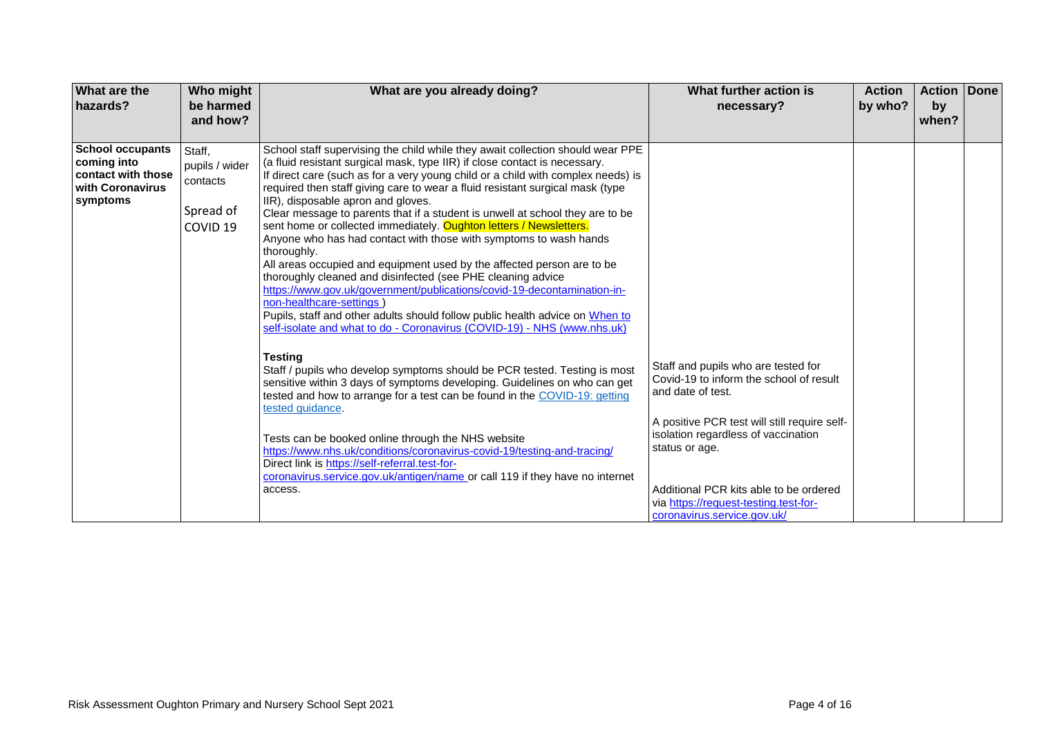| What are the<br>hazards?                                                                     | Who might<br>be harmed<br>and how?                                       | What are you already doing?                                                                                                                                                                                                                                                                                                                                                                                                                                                                                                                                                                                                                                                                                                                                                                                                                                                                                                                                                                                                                                                                                                                                                                                                                                                                                                                                                                                                                                                                                                                                                              | What further action is<br>necessary?                                                                                                                                                                                                                                                                                           | <b>Action</b><br>by who? | <b>Action</b><br>by<br>when? | Done |
|----------------------------------------------------------------------------------------------|--------------------------------------------------------------------------|------------------------------------------------------------------------------------------------------------------------------------------------------------------------------------------------------------------------------------------------------------------------------------------------------------------------------------------------------------------------------------------------------------------------------------------------------------------------------------------------------------------------------------------------------------------------------------------------------------------------------------------------------------------------------------------------------------------------------------------------------------------------------------------------------------------------------------------------------------------------------------------------------------------------------------------------------------------------------------------------------------------------------------------------------------------------------------------------------------------------------------------------------------------------------------------------------------------------------------------------------------------------------------------------------------------------------------------------------------------------------------------------------------------------------------------------------------------------------------------------------------------------------------------------------------------------------------------|--------------------------------------------------------------------------------------------------------------------------------------------------------------------------------------------------------------------------------------------------------------------------------------------------------------------------------|--------------------------|------------------------------|------|
| <b>School occupants</b><br>coming into<br>contact with those<br>with Coronavirus<br>symptoms | Staff,<br>pupils / wider<br>contacts<br>Spread of<br>COVID <sub>19</sub> | School staff supervising the child while they await collection should wear PPE<br>(a fluid resistant surgical mask, type IIR) if close contact is necessary.<br>If direct care (such as for a very young child or a child with complex needs) is<br>required then staff giving care to wear a fluid resistant surgical mask (type<br>IIR), disposable apron and gloves.<br>Clear message to parents that if a student is unwell at school they are to be<br>sent home or collected immediately. Oughton letters / Newsletters.<br>Anyone who has had contact with those with symptoms to wash hands<br>thoroughly.<br>All areas occupied and equipment used by the affected person are to be<br>thoroughly cleaned and disinfected (see PHE cleaning advice<br>https://www.gov.uk/government/publications/covid-19-decontamination-in-<br>non-healthcare-settings<br>Pupils, staff and other adults should follow public health advice on When to<br>self-isolate and what to do - Coronavirus (COVID-19) - NHS (www.nhs.uk)<br><b>Testing</b><br>Staff / pupils who develop symptoms should be PCR tested. Testing is most<br>sensitive within 3 days of symptoms developing. Guidelines on who can get<br>tested and how to arrange for a test can be found in the COVID-19: getting<br>tested guidance.<br>Tests can be booked online through the NHS website<br>https://www.nhs.uk/conditions/coronavirus-covid-19/testing-and-tracing/<br>Direct link is https://self-referral.test-for-<br>coronavirus.service.gov.uk/antigen/name or call 119 if they have no internet<br>access. | Staff and pupils who are tested for<br>Covid-19 to inform the school of result<br>and date of test.<br>A positive PCR test will still require self-<br>isolation regardless of vaccination<br>status or age.<br>Additional PCR kits able to be ordered<br>via https://request-testing.test-for-<br>coronavirus.service.gov.uk/ |                          |                              |      |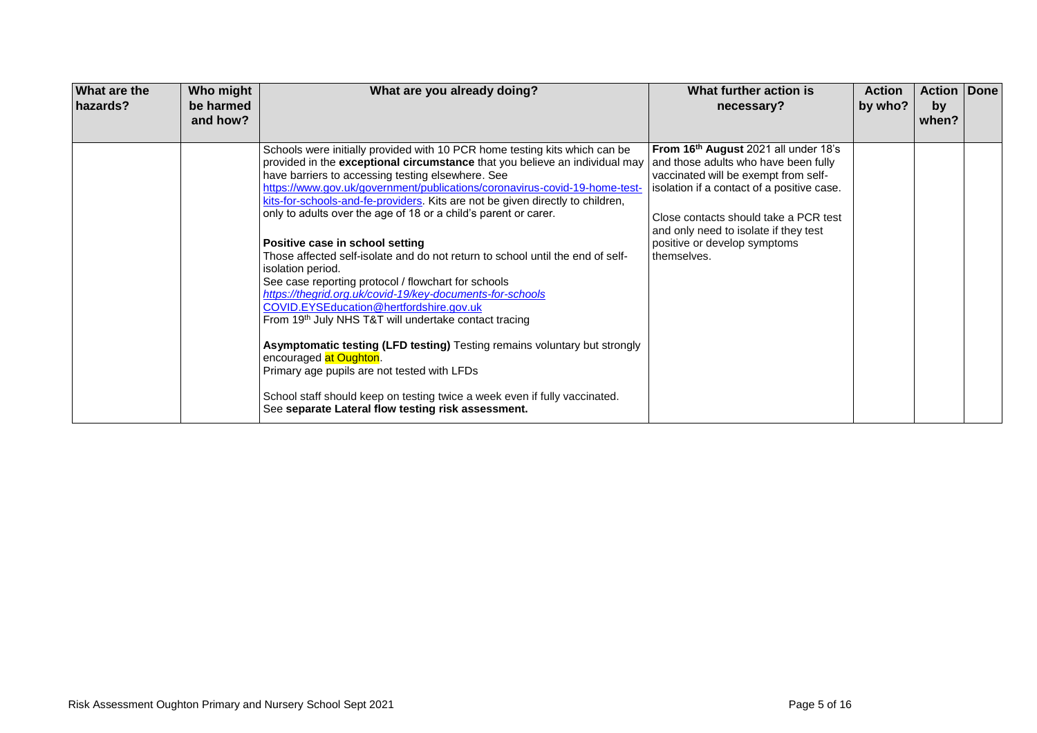| What are the<br>hazards? | Who might<br>be harmed<br>and how? | What are you already doing?                                                                                                                                                                                                                                                                                                                                                                                                                                                                                                                                                                                                                                                                                                                                                                                                                                                                                                                                                                                                                                                                                          | What further action is<br>necessary?                                                                                                                                                                                                                                                                            | <b>Action</b><br>by who? | <b>Action   Done</b><br>by<br>when? |  |
|--------------------------|------------------------------------|----------------------------------------------------------------------------------------------------------------------------------------------------------------------------------------------------------------------------------------------------------------------------------------------------------------------------------------------------------------------------------------------------------------------------------------------------------------------------------------------------------------------------------------------------------------------------------------------------------------------------------------------------------------------------------------------------------------------------------------------------------------------------------------------------------------------------------------------------------------------------------------------------------------------------------------------------------------------------------------------------------------------------------------------------------------------------------------------------------------------|-----------------------------------------------------------------------------------------------------------------------------------------------------------------------------------------------------------------------------------------------------------------------------------------------------------------|--------------------------|-------------------------------------|--|
|                          |                                    | Schools were initially provided with 10 PCR home testing kits which can be<br>provided in the exceptional circumstance that you believe an individual may<br>have barriers to accessing testing elsewhere. See<br>https://www.gov.uk/government/publications/coronavirus-covid-19-home-test-<br>kits-for-schools-and-fe-providers. Kits are not be given directly to children,<br>only to adults over the age of 18 or a child's parent or carer.<br>Positive case in school setting<br>Those affected self-isolate and do not return to school until the end of self-<br>isolation period.<br>See case reporting protocol / flowchart for schools<br>https://thegrid.org.uk/covid-19/key-documents-for-schools<br>COVID.EYSEducation@hertfordshire.gov.uk<br>From 19th July NHS T&T will undertake contact tracing<br><b>Asymptomatic testing (LFD testing)</b> Testing remains voluntary but strongly<br>encouraged at Oughton.<br>Primary age pupils are not tested with LFDs<br>School staff should keep on testing twice a week even if fully vaccinated.<br>See separate Lateral flow testing risk assessment. | From 16 <sup>th</sup> August 2021 all under 18's<br>and those adults who have been fully<br>vaccinated will be exempt from self-<br>isolation if a contact of a positive case.<br>Close contacts should take a PCR test<br>and only need to isolate if they test<br>positive or develop symptoms<br>themselves. |                          |                                     |  |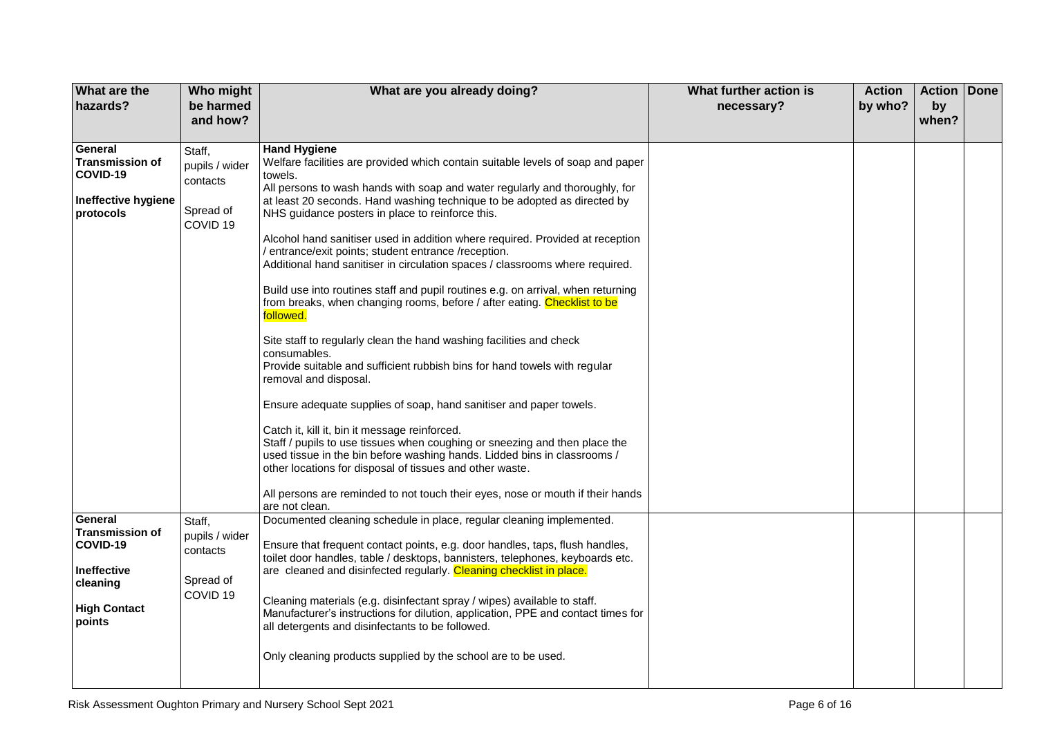| What are the<br>hazards?                                                                                         | Who might<br>be harmed<br>and how?                                       | What are you already doing?                                                                                                                                                                                                                                                                                                                                                                                                                                                                                                                                                                                                                                                                                                                                                                                                                                                                                                                                                                                                                                                                                                                                                                                                                                                                                                                                                          | What further action is<br>necessary? | <b>Action</b><br>by who? | Action Done<br>by<br>when? |  |
|------------------------------------------------------------------------------------------------------------------|--------------------------------------------------------------------------|--------------------------------------------------------------------------------------------------------------------------------------------------------------------------------------------------------------------------------------------------------------------------------------------------------------------------------------------------------------------------------------------------------------------------------------------------------------------------------------------------------------------------------------------------------------------------------------------------------------------------------------------------------------------------------------------------------------------------------------------------------------------------------------------------------------------------------------------------------------------------------------------------------------------------------------------------------------------------------------------------------------------------------------------------------------------------------------------------------------------------------------------------------------------------------------------------------------------------------------------------------------------------------------------------------------------------------------------------------------------------------------|--------------------------------------|--------------------------|----------------------------|--|
| General<br><b>Transmission of</b><br>COVID-19<br>Ineffective hygiene<br>protocols                                | Staff,<br>pupils / wider<br>contacts<br>Spread of<br>COVID <sub>19</sub> | <b>Hand Hygiene</b><br>Welfare facilities are provided which contain suitable levels of soap and paper<br>towels.<br>All persons to wash hands with soap and water regularly and thoroughly, for<br>at least 20 seconds. Hand washing technique to be adopted as directed by<br>NHS guidance posters in place to reinforce this.<br>Alcohol hand sanitiser used in addition where required. Provided at reception<br>/ entrance/exit points; student entrance /reception.<br>Additional hand sanitiser in circulation spaces / classrooms where required.<br>Build use into routines staff and pupil routines e.g. on arrival, when returning<br>from breaks, when changing rooms, before / after eating. Checklist to be<br>followed.<br>Site staff to regularly clean the hand washing facilities and check<br>consumables.<br>Provide suitable and sufficient rubbish bins for hand towels with regular<br>removal and disposal.<br>Ensure adequate supplies of soap, hand sanitiser and paper towels.<br>Catch it, kill it, bin it message reinforced.<br>Staff / pupils to use tissues when coughing or sneezing and then place the<br>used tissue in the bin before washing hands. Lidded bins in classrooms /<br>other locations for disposal of tissues and other waste.<br>All persons are reminded to not touch their eyes, nose or mouth if their hands<br>are not clean. |                                      |                          |                            |  |
| General<br><b>Transmission of</b><br>COVID-19<br><b>Ineffective</b><br>cleaning<br><b>High Contact</b><br>points | Staff,<br>pupils / wider<br>contacts<br>Spread of<br>COVID <sub>19</sub> | Documented cleaning schedule in place, regular cleaning implemented.<br>Ensure that frequent contact points, e.g. door handles, taps, flush handles,<br>toilet door handles, table / desktops, bannisters, telephones, keyboards etc.<br>are cleaned and disinfected regularly. Cleaning checklist in place.<br>Cleaning materials (e.g. disinfectant spray / wipes) available to staff.<br>Manufacturer's instructions for dilution, application, PPE and contact times for<br>all detergents and disinfectants to be followed.<br>Only cleaning products supplied by the school are to be used.                                                                                                                                                                                                                                                                                                                                                                                                                                                                                                                                                                                                                                                                                                                                                                                    |                                      |                          |                            |  |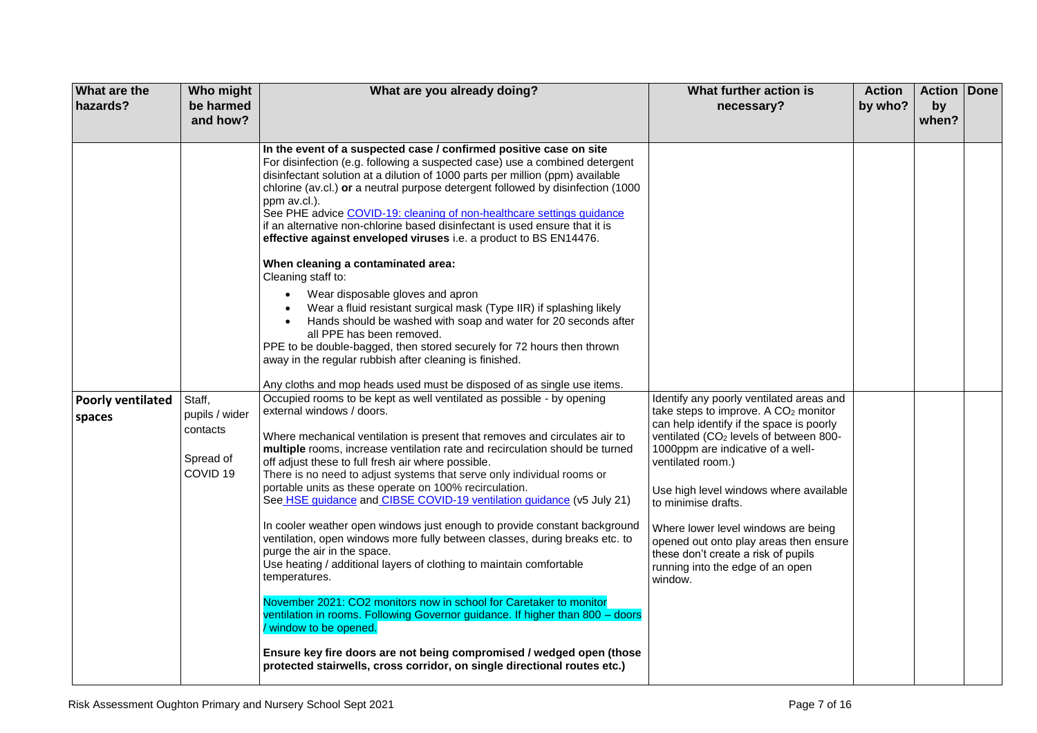| What are the<br>hazards?           | Who might<br>be harmed<br>and how?                                       | What are you already doing?                                                                                                                                                                                                                                                                                                                                                                                                                                                                                                                                                                                                                                                                                                                                                                                                                                                                                                                                                                                                                                                                                                                                 | What further action is<br>necessary?                                                                                                                                                                                                                                                                                                                                                                                                                                                             | <b>Action</b><br>by who? | Action<br>by<br>when? | Done |
|------------------------------------|--------------------------------------------------------------------------|-------------------------------------------------------------------------------------------------------------------------------------------------------------------------------------------------------------------------------------------------------------------------------------------------------------------------------------------------------------------------------------------------------------------------------------------------------------------------------------------------------------------------------------------------------------------------------------------------------------------------------------------------------------------------------------------------------------------------------------------------------------------------------------------------------------------------------------------------------------------------------------------------------------------------------------------------------------------------------------------------------------------------------------------------------------------------------------------------------------------------------------------------------------|--------------------------------------------------------------------------------------------------------------------------------------------------------------------------------------------------------------------------------------------------------------------------------------------------------------------------------------------------------------------------------------------------------------------------------------------------------------------------------------------------|--------------------------|-----------------------|------|
|                                    |                                                                          | In the event of a suspected case / confirmed positive case on site<br>For disinfection (e.g. following a suspected case) use a combined detergent<br>disinfectant solution at a dilution of 1000 parts per million (ppm) available<br>chlorine (av.cl.) or a neutral purpose detergent followed by disinfection (1000<br>ppm av.cl.).<br>See PHE advice COVID-19: cleaning of non-healthcare settings guidance<br>if an alternative non-chlorine based disinfectant is used ensure that it is<br>effective against enveloped viruses i.e. a product to BS EN14476.<br>When cleaning a contaminated area:<br>Cleaning staff to:                                                                                                                                                                                                                                                                                                                                                                                                                                                                                                                              |                                                                                                                                                                                                                                                                                                                                                                                                                                                                                                  |                          |                       |      |
|                                    |                                                                          | Wear disposable gloves and apron<br>$\bullet$<br>Wear a fluid resistant surgical mask (Type IIR) if splashing likely<br>Hands should be washed with soap and water for 20 seconds after<br>all PPE has been removed.<br>PPE to be double-bagged, then stored securely for 72 hours then thrown<br>away in the regular rubbish after cleaning is finished.<br>Any cloths and mop heads used must be disposed of as single use items.                                                                                                                                                                                                                                                                                                                                                                                                                                                                                                                                                                                                                                                                                                                         |                                                                                                                                                                                                                                                                                                                                                                                                                                                                                                  |                          |                       |      |
| <b>Poorly ventilated</b><br>spaces | Staff,<br>pupils / wider<br>contacts<br>Spread of<br>COVID <sub>19</sub> | Occupied rooms to be kept as well ventilated as possible - by opening<br>external windows / doors.<br>Where mechanical ventilation is present that removes and circulates air to<br>multiple rooms, increase ventilation rate and recirculation should be turned<br>off adjust these to full fresh air where possible.<br>There is no need to adjust systems that serve only individual rooms or<br>portable units as these operate on 100% recirculation.<br>See HSE guidance and CIBSE COVID-19 ventilation guidance (v5 July 21)<br>In cooler weather open windows just enough to provide constant background<br>ventilation, open windows more fully between classes, during breaks etc. to<br>purge the air in the space.<br>Use heating / additional layers of clothing to maintain comfortable<br>temperatures.<br>November 2021: CO2 monitors now in school for Caretaker to monitor<br>ventilation in rooms. Following Governor guidance. If higher than 800 - doors<br>/ window to be opened.<br>Ensure key fire doors are not being compromised / wedged open (those<br>protected stairwells, cross corridor, on single directional routes etc.) | Identify any poorly ventilated areas and<br>take steps to improve. A CO <sub>2</sub> monitor<br>can help identify if the space is poorly<br>ventilated (CO <sub>2</sub> levels of between 800-<br>1000ppm are indicative of a well-<br>ventilated room.)<br>Use high level windows where available<br>to minimise drafts.<br>Where lower level windows are being<br>opened out onto play areas then ensure<br>these don't create a risk of pupils<br>running into the edge of an open<br>window. |                          |                       |      |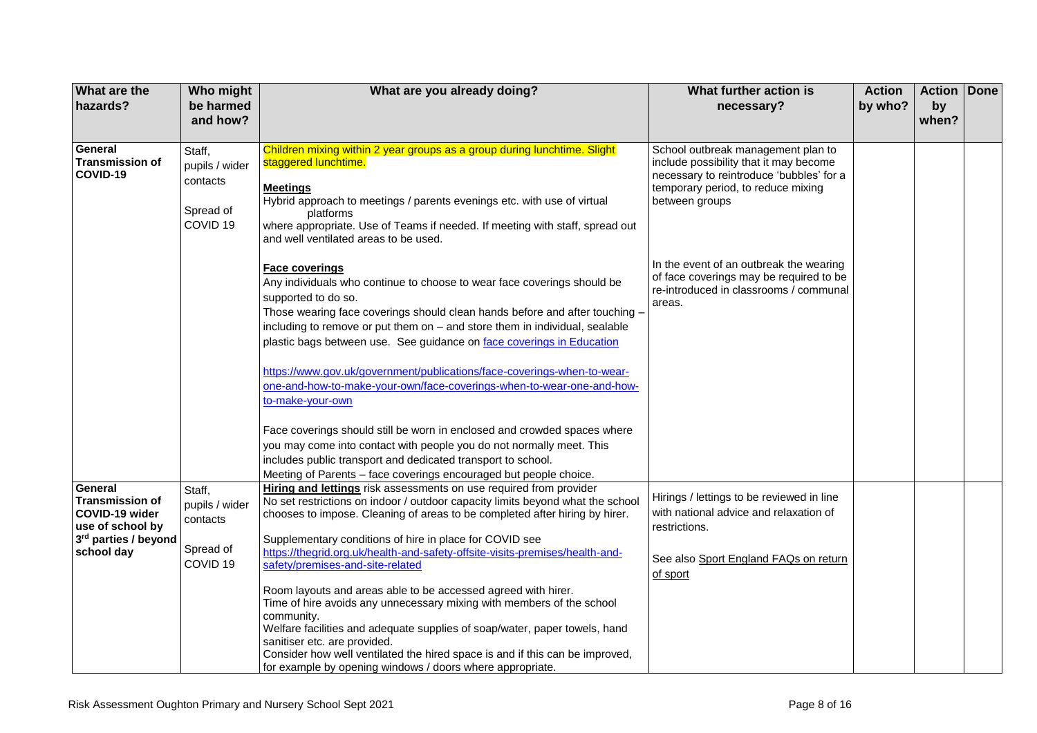| What are the                      | Who might                        | What are you already doing?                                                                                                                          | What further action is                                                            | <b>Action</b> | <b>Action Done</b> |  |
|-----------------------------------|----------------------------------|------------------------------------------------------------------------------------------------------------------------------------------------------|-----------------------------------------------------------------------------------|---------------|--------------------|--|
| hazards?                          | be harmed                        |                                                                                                                                                      | necessary?                                                                        | by who?       | by                 |  |
|                                   | and how?                         |                                                                                                                                                      |                                                                                   |               | when?              |  |
| General                           |                                  |                                                                                                                                                      |                                                                                   |               |                    |  |
| <b>Transmission of</b>            | Staff,                           | Children mixing within 2 year groups as a group during lunchtime. Slight<br>staggered lunchtime.                                                     | School outbreak management plan to<br>include possibility that it may become      |               |                    |  |
| COVID-19                          | pupils / wider                   |                                                                                                                                                      | necessary to reintroduce 'bubbles' for a                                          |               |                    |  |
|                                   | contacts                         | <b>Meetings</b>                                                                                                                                      | temporary period, to reduce mixing                                                |               |                    |  |
|                                   | Spread of                        | Hybrid approach to meetings / parents evenings etc. with use of virtual                                                                              | between groups                                                                    |               |                    |  |
|                                   | COVID <sub>19</sub>              | platforms<br>where appropriate. Use of Teams if needed. If meeting with staff, spread out                                                            |                                                                                   |               |                    |  |
|                                   |                                  | and well ventilated areas to be used.                                                                                                                |                                                                                   |               |                    |  |
|                                   |                                  |                                                                                                                                                      |                                                                                   |               |                    |  |
|                                   |                                  | Face coverings                                                                                                                                       | In the event of an outbreak the wearing                                           |               |                    |  |
|                                   |                                  | Any individuals who continue to choose to wear face coverings should be                                                                              | of face coverings may be required to be<br>re-introduced in classrooms / communal |               |                    |  |
|                                   |                                  | supported to do so.                                                                                                                                  | areas.                                                                            |               |                    |  |
|                                   |                                  | Those wearing face coverings should clean hands before and after touching -                                                                          |                                                                                   |               |                    |  |
|                                   |                                  | including to remove or put them on - and store them in individual, sealable                                                                          |                                                                                   |               |                    |  |
|                                   |                                  | plastic bags between use. See guidance on face coverings in Education                                                                                |                                                                                   |               |                    |  |
|                                   |                                  | https://www.gov.uk/government/publications/face-coverings-when-to-wear-                                                                              |                                                                                   |               |                    |  |
|                                   |                                  | one-and-how-to-make-your-own/face-coverings-when-to-wear-one-and-how-                                                                                |                                                                                   |               |                    |  |
|                                   |                                  | to-make-your-own                                                                                                                                     |                                                                                   |               |                    |  |
|                                   |                                  |                                                                                                                                                      |                                                                                   |               |                    |  |
|                                   |                                  | Face coverings should still be worn in enclosed and crowded spaces where                                                                             |                                                                                   |               |                    |  |
|                                   |                                  | you may come into contact with people you do not normally meet. This                                                                                 |                                                                                   |               |                    |  |
|                                   |                                  | includes public transport and dedicated transport to school.                                                                                         |                                                                                   |               |                    |  |
|                                   |                                  | Meeting of Parents - face coverings encouraged but people choice.                                                                                    |                                                                                   |               |                    |  |
| General<br><b>Transmission of</b> | Staff,                           | Hiring and lettings risk assessments on use required from provider<br>No set restrictions on indoor / outdoor capacity limits beyond what the school | Hirings / lettings to be reviewed in line                                         |               |                    |  |
| COVID-19 wider                    | pupils / wider                   | chooses to impose. Cleaning of areas to be completed after hiring by hirer.                                                                          | with national advice and relaxation of                                            |               |                    |  |
| use of school by                  | contacts                         |                                                                                                                                                      | restrictions.                                                                     |               |                    |  |
| 3rd parties / beyond              |                                  | Supplementary conditions of hire in place for COVID see                                                                                              |                                                                                   |               |                    |  |
| school day                        | Spread of<br>COVID <sub>19</sub> | https://thegrid.org.uk/health-and-safety-offsite-visits-premises/health-and-<br>safety/premises-and-site-related                                     | See also Sport England FAQs on return                                             |               |                    |  |
|                                   |                                  |                                                                                                                                                      | of sport                                                                          |               |                    |  |
|                                   |                                  | Room layouts and areas able to be accessed agreed with hirer.                                                                                        |                                                                                   |               |                    |  |
|                                   |                                  | Time of hire avoids any unnecessary mixing with members of the school                                                                                |                                                                                   |               |                    |  |
|                                   |                                  | community.                                                                                                                                           |                                                                                   |               |                    |  |
|                                   |                                  | Welfare facilities and adequate supplies of soap/water, paper towels, hand<br>sanitiser etc. are provided.                                           |                                                                                   |               |                    |  |
|                                   |                                  | Consider how well ventilated the hired space is and if this can be improved,                                                                         |                                                                                   |               |                    |  |
|                                   |                                  | for example by opening windows / doors where appropriate.                                                                                            |                                                                                   |               |                    |  |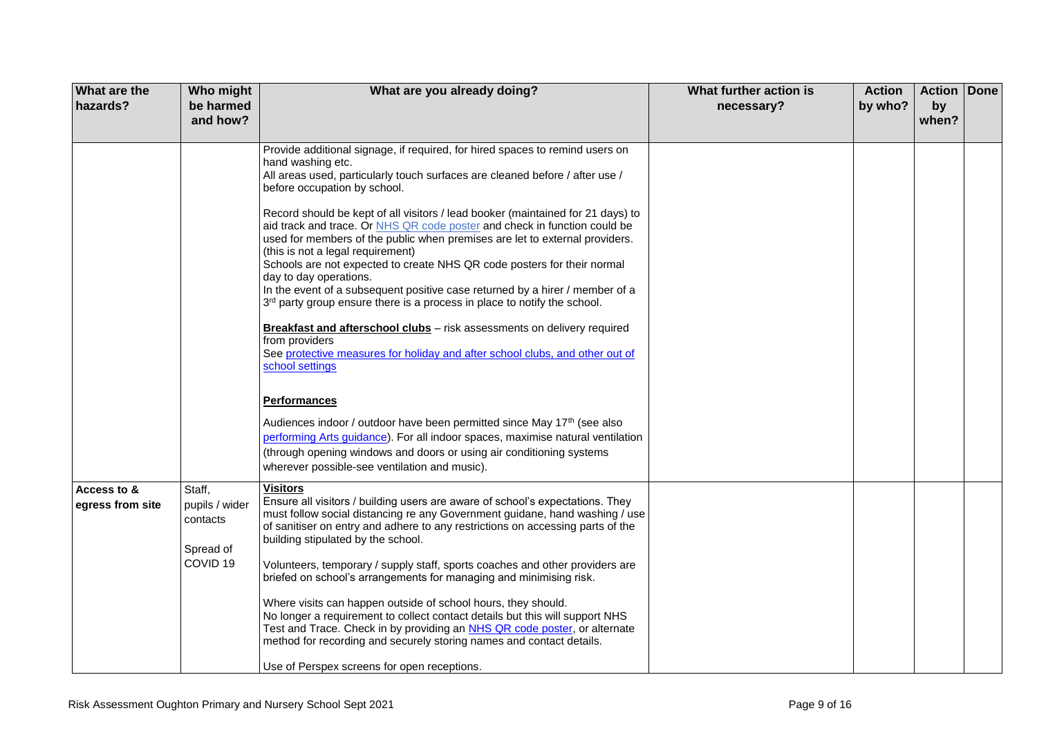| What are the<br>hazards?        | Who might<br>be harmed<br>and how?                                       | What are you already doing?                                                                                                                                                                                                                                                                                                                                                                                                                                                                                                                                                                                                                                                                                                                                                                                                                                                                                                                                                   | What further action is<br>necessary? | <b>Action</b><br>by who? | Action Done<br>by<br>when? |  |
|---------------------------------|--------------------------------------------------------------------------|-------------------------------------------------------------------------------------------------------------------------------------------------------------------------------------------------------------------------------------------------------------------------------------------------------------------------------------------------------------------------------------------------------------------------------------------------------------------------------------------------------------------------------------------------------------------------------------------------------------------------------------------------------------------------------------------------------------------------------------------------------------------------------------------------------------------------------------------------------------------------------------------------------------------------------------------------------------------------------|--------------------------------------|--------------------------|----------------------------|--|
|                                 |                                                                          | Provide additional signage, if required, for hired spaces to remind users on<br>hand washing etc.<br>All areas used, particularly touch surfaces are cleaned before / after use /<br>before occupation by school.<br>Record should be kept of all visitors / lead booker (maintained for 21 days) to<br>aid track and trace. Or NHS QR code poster and check in function could be<br>used for members of the public when premises are let to external providers.<br>(this is not a legal requirement)<br>Schools are not expected to create NHS QR code posters for their normal<br>day to day operations.<br>In the event of a subsequent positive case returned by a hirer / member of a<br>3rd party group ensure there is a process in place to notify the school.<br><b>Breakfast and afterschool clubs</b> – risk assessments on delivery required<br>from providers<br>See protective measures for holiday and after school clubs, and other out of<br>school settings |                                      |                          |                            |  |
|                                 |                                                                          | <b>Performances</b><br>Audiences indoor / outdoor have been permitted since May 17 <sup>th</sup> (see also<br>performing Arts guidance). For all indoor spaces, maximise natural ventilation<br>(through opening windows and doors or using air conditioning systems<br>wherever possible-see ventilation and music).                                                                                                                                                                                                                                                                                                                                                                                                                                                                                                                                                                                                                                                         |                                      |                          |                            |  |
| Access to &<br>egress from site | Staff,<br>pupils / wider<br>contacts<br>Spread of<br>COVID <sub>19</sub> | <b>Visitors</b><br>Ensure all visitors / building users are aware of school's expectations. They<br>must follow social distancing re any Government guidane, hand washing / use<br>of sanitiser on entry and adhere to any restrictions on accessing parts of the<br>building stipulated by the school.<br>Volunteers, temporary / supply staff, sports coaches and other providers are<br>briefed on school's arrangements for managing and minimising risk.<br>Where visits can happen outside of school hours, they should.<br>No longer a requirement to collect contact details but this will support NHS<br>Test and Trace. Check in by providing an NHS QR code poster, or alternate<br>method for recording and securely storing names and contact details.<br>Use of Perspex screens for open receptions.                                                                                                                                                            |                                      |                          |                            |  |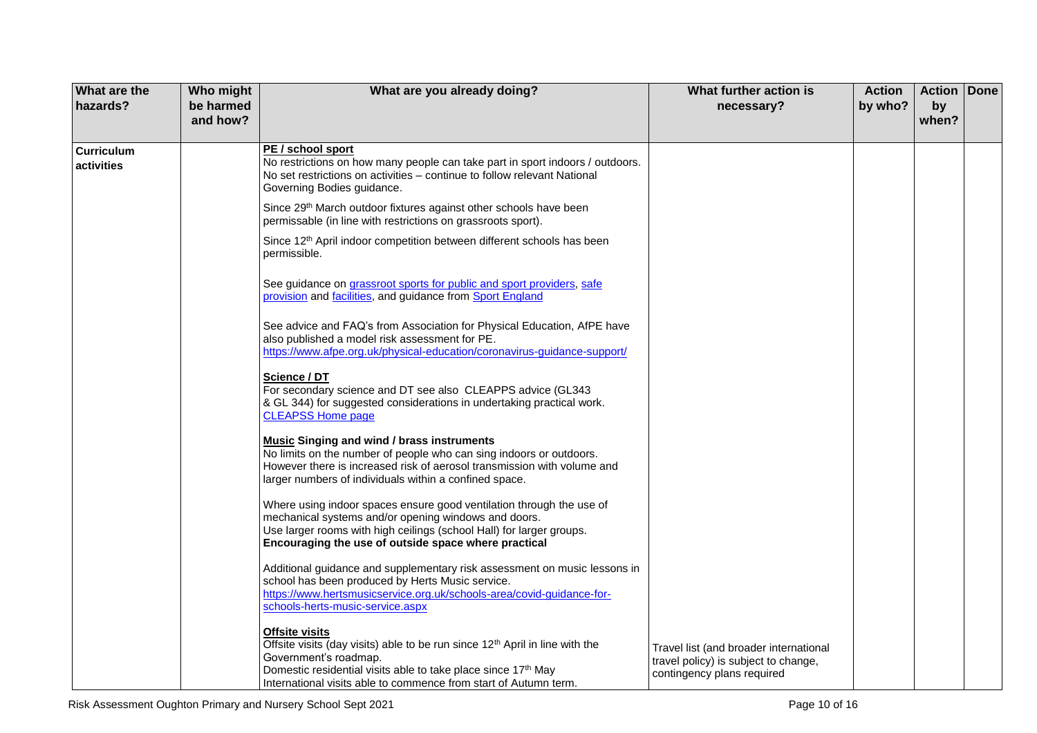| What are the<br>hazards?        | Who might<br>be harmed | What are you already doing?                                                                                                                                                                                                                                                                                                     | What further action is<br>necessary?                                                                         | <b>Action</b><br>by who? | <b>Action Done</b><br>by |  |
|---------------------------------|------------------------|---------------------------------------------------------------------------------------------------------------------------------------------------------------------------------------------------------------------------------------------------------------------------------------------------------------------------------|--------------------------------------------------------------------------------------------------------------|--------------------------|--------------------------|--|
|                                 | and how?               |                                                                                                                                                                                                                                                                                                                                 |                                                                                                              |                          | when?                    |  |
| <b>Curriculum</b><br>activities |                        | PE / school sport<br>No restrictions on how many people can take part in sport indoors / outdoors.<br>No set restrictions on activities - continue to follow relevant National<br>Governing Bodies guidance.                                                                                                                    |                                                                                                              |                          |                          |  |
|                                 |                        | Since 29 <sup>th</sup> March outdoor fixtures against other schools have been<br>permissable (in line with restrictions on grassroots sport).                                                                                                                                                                                   |                                                                                                              |                          |                          |  |
|                                 |                        | Since 12 <sup>th</sup> April indoor competition between different schools has been<br>permissible.                                                                                                                                                                                                                              |                                                                                                              |                          |                          |  |
|                                 |                        | See guidance on grassroot sports for public and sport providers, safe<br>provision and facilities, and guidance from Sport England                                                                                                                                                                                              |                                                                                                              |                          |                          |  |
|                                 |                        | See advice and FAQ's from Association for Physical Education, AfPE have<br>also published a model risk assessment for PE.<br>https://www.afpe.org.uk/physical-education/coronavirus-guidance-support/                                                                                                                           |                                                                                                              |                          |                          |  |
|                                 |                        | Science / DT<br>For secondary science and DT see also CLEAPPS advice (GL343<br>& GL 344) for suggested considerations in undertaking practical work.<br><b>CLEAPSS Home page</b>                                                                                                                                                |                                                                                                              |                          |                          |  |
|                                 |                        | <b>Music Singing and wind / brass instruments</b><br>No limits on the number of people who can sing indoors or outdoors.<br>However there is increased risk of aerosol transmission with volume and<br>larger numbers of individuals within a confined space.                                                                   |                                                                                                              |                          |                          |  |
|                                 |                        | Where using indoor spaces ensure good ventilation through the use of<br>mechanical systems and/or opening windows and doors.<br>Use larger rooms with high ceilings (school Hall) for larger groups.<br>Encouraging the use of outside space where practical                                                                    |                                                                                                              |                          |                          |  |
|                                 |                        | Additional guidance and supplementary risk assessment on music lessons in<br>school has been produced by Herts Music service.<br>https://www.hertsmusicservice.org.uk/schools-area/covid-guidance-for-                                                                                                                          |                                                                                                              |                          |                          |  |
|                                 |                        | schools-herts-music-service.aspx<br><b>Offsite visits</b><br>Offsite visits (day visits) able to be run since 12 <sup>th</sup> April in line with the<br>Government's roadmap.<br>Domestic residential visits able to take place since 17 <sup>th</sup> May<br>International visits able to commence from start of Autumn term. | Travel list (and broader international<br>travel policy) is subject to change,<br>contingency plans required |                          |                          |  |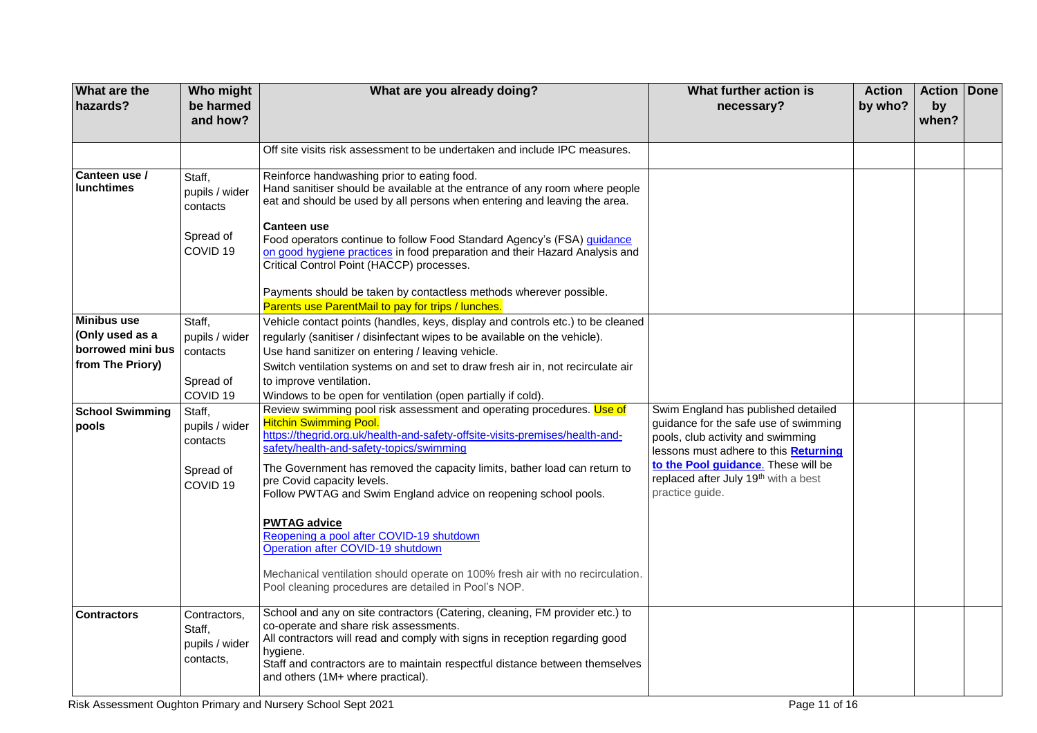| What are the<br>hazards?           | Who might<br>be harmed<br>and how?                    | What are you already doing?                                                                                                                                                                                                                                                                                                            | What further action is<br>necessary?                                                                                                                                                              | <b>Action</b><br>by who? | <b>Action Done</b><br>by<br>when? |  |
|------------------------------------|-------------------------------------------------------|----------------------------------------------------------------------------------------------------------------------------------------------------------------------------------------------------------------------------------------------------------------------------------------------------------------------------------------|---------------------------------------------------------------------------------------------------------------------------------------------------------------------------------------------------|--------------------------|-----------------------------------|--|
|                                    |                                                       |                                                                                                                                                                                                                                                                                                                                        |                                                                                                                                                                                                   |                          |                                   |  |
|                                    |                                                       | Off site visits risk assessment to be undertaken and include IPC measures.                                                                                                                                                                                                                                                             |                                                                                                                                                                                                   |                          |                                   |  |
| Canteen use /<br><b>lunchtimes</b> | Staff.<br>pupils / wider<br>contacts                  | Reinforce handwashing prior to eating food.<br>Hand sanitiser should be available at the entrance of any room where people<br>eat and should be used by all persons when entering and leaving the area.                                                                                                                                |                                                                                                                                                                                                   |                          |                                   |  |
|                                    | Spread of<br>COVID <sub>19</sub>                      | <b>Canteen use</b><br>Food operators continue to follow Food Standard Agency's (FSA) guidance<br>on good hygiene practices in food preparation and their Hazard Analysis and<br>Critical Control Point (HACCP) processes.                                                                                                              |                                                                                                                                                                                                   |                          |                                   |  |
|                                    |                                                       | Payments should be taken by contactless methods wherever possible.<br>Parents use ParentMail to pay for trips / lunches.                                                                                                                                                                                                               |                                                                                                                                                                                                   |                          |                                   |  |
| <b>Minibus use</b>                 | Staff,                                                | Vehicle contact points (handles, keys, display and controls etc.) to be cleaned                                                                                                                                                                                                                                                        |                                                                                                                                                                                                   |                          |                                   |  |
| (Only used as a                    | pupils / wider                                        | regularly (sanitiser / disinfectant wipes to be available on the vehicle).                                                                                                                                                                                                                                                             |                                                                                                                                                                                                   |                          |                                   |  |
| borrowed mini bus                  | contacts                                              | Use hand sanitizer on entering / leaving vehicle.                                                                                                                                                                                                                                                                                      |                                                                                                                                                                                                   |                          |                                   |  |
| from The Priory)                   |                                                       | Switch ventilation systems on and set to draw fresh air in, not recirculate air                                                                                                                                                                                                                                                        |                                                                                                                                                                                                   |                          |                                   |  |
|                                    | Spread of                                             | to improve ventilation.                                                                                                                                                                                                                                                                                                                |                                                                                                                                                                                                   |                          |                                   |  |
|                                    | COVID <sub>19</sub>                                   | Windows to be open for ventilation (open partially if cold).                                                                                                                                                                                                                                                                           |                                                                                                                                                                                                   |                          |                                   |  |
| <b>School Swimming</b><br>pools    | Staff,<br>pupils / wider<br>contacts                  | Review swimming pool risk assessment and operating procedures. Use of<br><b>Hitchin Swimming Pool.</b><br>https://thegrid.org.uk/health-and-safety-offsite-visits-premises/health-and-<br>safety/health-and-safety-topics/swimming                                                                                                     | Swim England has published detailed<br>guidance for the safe use of swimming<br>pools, club activity and swimming<br>lessons must adhere to this Returning<br>to the Pool guidance. These will be |                          |                                   |  |
|                                    | Spread of<br>COVID <sub>19</sub>                      | The Government has removed the capacity limits, bather load can return to<br>pre Covid capacity levels.<br>Follow PWTAG and Swim England advice on reopening school pools.                                                                                                                                                             | replaced after July 19th with a best<br>practice guide.                                                                                                                                           |                          |                                   |  |
|                                    |                                                       | <b>PWTAG advice</b><br>Reopening a pool after COVID-19 shutdown<br>Operation after COVID-19 shutdown                                                                                                                                                                                                                                   |                                                                                                                                                                                                   |                          |                                   |  |
|                                    |                                                       | Mechanical ventilation should operate on 100% fresh air with no recirculation.<br>Pool cleaning procedures are detailed in Pool's NOP.                                                                                                                                                                                                 |                                                                                                                                                                                                   |                          |                                   |  |
| <b>Contractors</b>                 | Contractors,<br>Staff,<br>pupils / wider<br>contacts, | School and any on site contractors (Catering, cleaning, FM provider etc.) to<br>co-operate and share risk assessments.<br>All contractors will read and comply with signs in reception regarding good<br>hygiene.<br>Staff and contractors are to maintain respectful distance between themselves<br>and others (1M+ where practical). |                                                                                                                                                                                                   |                          |                                   |  |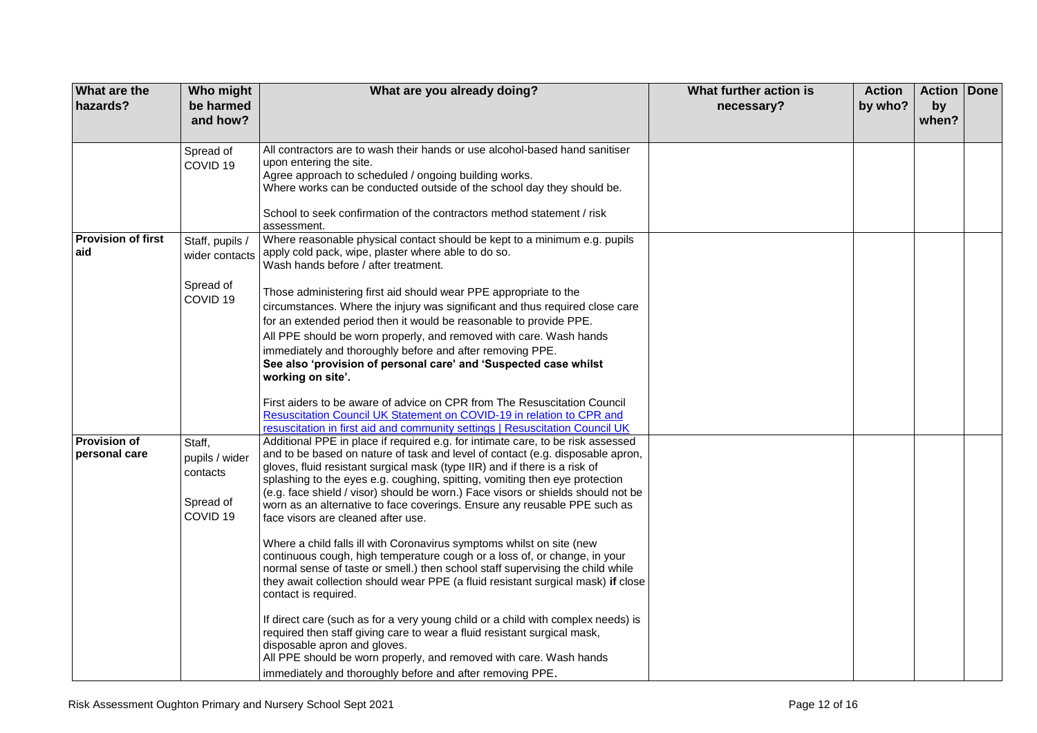| <b>What are the</b><br>hazards?      | Who might<br>be harmed<br>and how?                                       | What are you already doing?                                                                                                                                                                                                                                                                                                                                                                                                                                                                                                           | What further action is<br>necessary? | <b>Action</b><br>by who? | <b>Action Done</b><br>by<br>when? |  |
|--------------------------------------|--------------------------------------------------------------------------|---------------------------------------------------------------------------------------------------------------------------------------------------------------------------------------------------------------------------------------------------------------------------------------------------------------------------------------------------------------------------------------------------------------------------------------------------------------------------------------------------------------------------------------|--------------------------------------|--------------------------|-----------------------------------|--|
|                                      | Spread of                                                                | All contractors are to wash their hands or use alcohol-based hand sanitiser<br>upon entering the site.                                                                                                                                                                                                                                                                                                                                                                                                                                |                                      |                          |                                   |  |
|                                      | COVID <sub>19</sub>                                                      | Agree approach to scheduled / ongoing building works.<br>Where works can be conducted outside of the school day they should be.                                                                                                                                                                                                                                                                                                                                                                                                       |                                      |                          |                                   |  |
|                                      |                                                                          | School to seek confirmation of the contractors method statement / risk<br>assessment.                                                                                                                                                                                                                                                                                                                                                                                                                                                 |                                      |                          |                                   |  |
| <b>Provision of first</b><br>aid     | Staff, pupils /<br>wider contacts                                        | Where reasonable physical contact should be kept to a minimum e.g. pupils<br>apply cold pack, wipe, plaster where able to do so.<br>Wash hands before / after treatment.                                                                                                                                                                                                                                                                                                                                                              |                                      |                          |                                   |  |
|                                      | Spread of<br>COVID <sub>19</sub>                                         | Those administering first aid should wear PPE appropriate to the<br>circumstances. Where the injury was significant and thus required close care<br>for an extended period then it would be reasonable to provide PPE.<br>All PPE should be worn properly, and removed with care. Wash hands<br>immediately and thoroughly before and after removing PPE.<br>See also 'provision of personal care' and 'Suspected case whilst<br>working on site'.                                                                                    |                                      |                          |                                   |  |
|                                      |                                                                          | First aiders to be aware of advice on CPR from The Resuscitation Council<br>Resuscitation Council UK Statement on COVID-19 in relation to CPR and<br>resuscitation in first aid and community settings   Resuscitation Council UK                                                                                                                                                                                                                                                                                                     |                                      |                          |                                   |  |
| <b>Provision of</b><br>personal care | Staff,<br>pupils / wider<br>contacts<br>Spread of<br>COVID <sub>19</sub> | Additional PPE in place if required e.g. for intimate care, to be risk assessed<br>and to be based on nature of task and level of contact (e.g. disposable apron,<br>gloves, fluid resistant surgical mask (type IIR) and if there is a risk of<br>splashing to the eyes e.g. coughing, spitting, vomiting then eye protection<br>(e.g. face shield / visor) should be worn.) Face visors or shields should not be<br>worn as an alternative to face coverings. Ensure any reusable PPE such as<br>face visors are cleaned after use. |                                      |                          |                                   |  |
|                                      |                                                                          | Where a child falls ill with Coronavirus symptoms whilst on site (new<br>continuous cough, high temperature cough or a loss of, or change, in your<br>normal sense of taste or smell.) then school staff supervising the child while<br>they await collection should wear PPE (a fluid resistant surgical mask) if close<br>contact is required.                                                                                                                                                                                      |                                      |                          |                                   |  |
|                                      |                                                                          | If direct care (such as for a very young child or a child with complex needs) is<br>required then staff giving care to wear a fluid resistant surgical mask,<br>disposable apron and gloves.<br>All PPE should be worn properly, and removed with care. Wash hands<br>immediately and thoroughly before and after removing PPE.                                                                                                                                                                                                       |                                      |                          |                                   |  |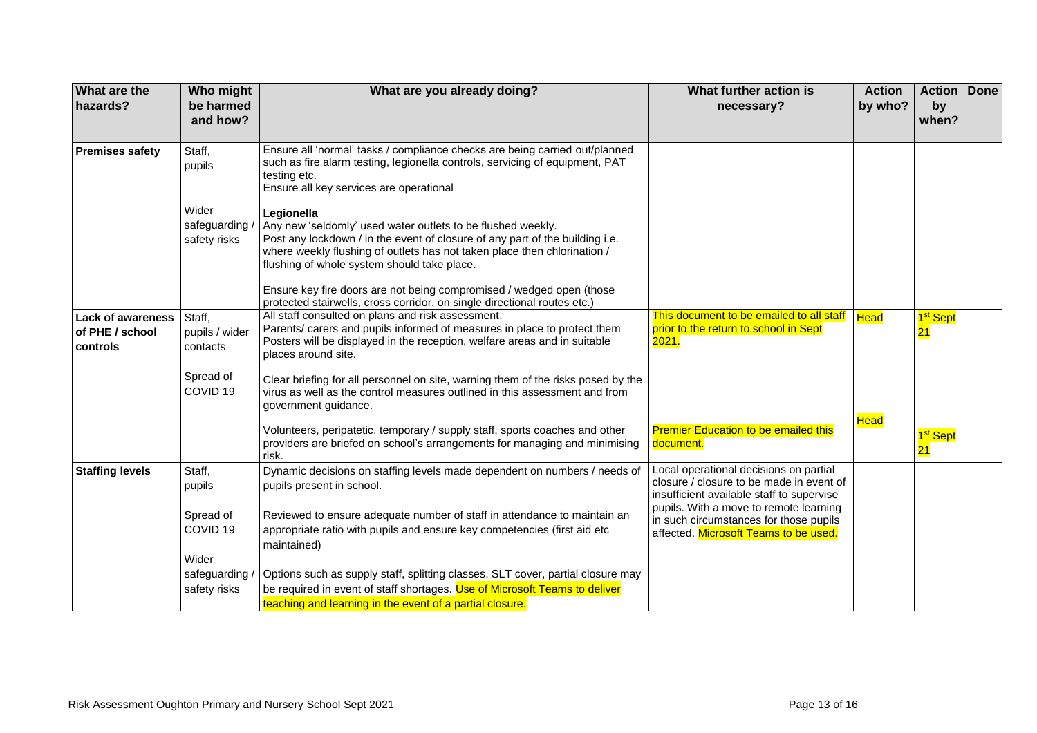| What are the<br>hazards?                                | Who might<br>be harmed<br>and how?      | What are you already doing?                                                                                                                                                                                                                                                                                                                                                                                                              | What further action is<br>necessary?                                                                                            | <b>Action</b><br>by who? | <b>Action Done</b><br>by<br>when? |  |
|---------------------------------------------------------|-----------------------------------------|------------------------------------------------------------------------------------------------------------------------------------------------------------------------------------------------------------------------------------------------------------------------------------------------------------------------------------------------------------------------------------------------------------------------------------------|---------------------------------------------------------------------------------------------------------------------------------|--------------------------|-----------------------------------|--|
|                                                         |                                         |                                                                                                                                                                                                                                                                                                                                                                                                                                          |                                                                                                                                 |                          |                                   |  |
| <b>Premises safety</b>                                  | Staff,<br>pupils                        | Ensure all 'normal' tasks / compliance checks are being carried out/planned<br>such as fire alarm testing, legionella controls, servicing of equipment, PAT<br>testing etc.<br>Ensure all key services are operational                                                                                                                                                                                                                   |                                                                                                                                 |                          |                                   |  |
|                                                         | Wider<br>safeguarding /<br>safety risks | Legionella<br>Any new 'seldomly' used water outlets to be flushed weekly.<br>Post any lockdown / in the event of closure of any part of the building i.e.<br>where weekly flushing of outlets has not taken place then chlorination /<br>flushing of whole system should take place.<br>Ensure key fire doors are not being compromised / wedged open (those<br>protected stairwells, cross corridor, on single directional routes etc.) |                                                                                                                                 |                          |                                   |  |
| <b>Lack of awareness</b><br>of PHE / school<br>controls | Staff,<br>pupils / wider<br>contacts    | All staff consulted on plans and risk assessment.<br>Parents/ carers and pupils informed of measures in place to protect them<br>Posters will be displayed in the reception, welfare areas and in suitable<br>places around site.                                                                                                                                                                                                        | This document to be emailed to all staff   Head<br>prior to the return to school in Sept<br>2021.                               |                          | 1 <sup>st</sup> Sept<br><u>21</u> |  |
|                                                         | Spread of<br>COVID <sub>19</sub>        | Clear briefing for all personnel on site, warning them of the risks posed by the<br>virus as well as the control measures outlined in this assessment and from<br>government guidance.                                                                                                                                                                                                                                                   |                                                                                                                                 |                          |                                   |  |
|                                                         |                                         | Volunteers, peripatetic, temporary / supply staff, sports coaches and other<br>providers are briefed on school's arrangements for managing and minimising<br>risk.                                                                                                                                                                                                                                                                       | <b>Premier Education to be emailed this</b><br>document.                                                                        | Head                     | 1 <sup>st</sup> Sept<br>21        |  |
| <b>Staffing levels</b>                                  | Staff,<br>pupils                        | Dynamic decisions on staffing levels made dependent on numbers / needs of<br>pupils present in school.                                                                                                                                                                                                                                                                                                                                   | Local operational decisions on partial<br>closure / closure to be made in event of<br>insufficient available staff to supervise |                          |                                   |  |
|                                                         | Spread of<br>COVID <sub>19</sub>        | Reviewed to ensure adequate number of staff in attendance to maintain an<br>appropriate ratio with pupils and ensure key competencies (first aid etc<br>maintained)                                                                                                                                                                                                                                                                      | pupils. With a move to remote learning<br>in such circumstances for those pupils<br>affected. Microsoft Teams to be used.       |                          |                                   |  |
|                                                         | Wider                                   |                                                                                                                                                                                                                                                                                                                                                                                                                                          |                                                                                                                                 |                          |                                   |  |
|                                                         | safeguarding /<br>safety risks          | Options such as supply staff, splitting classes, SLT cover, partial closure may<br>be required in event of staff shortages. Use of Microsoft Teams to deliver<br>teaching and learning in the event of a partial closure.                                                                                                                                                                                                                |                                                                                                                                 |                          |                                   |  |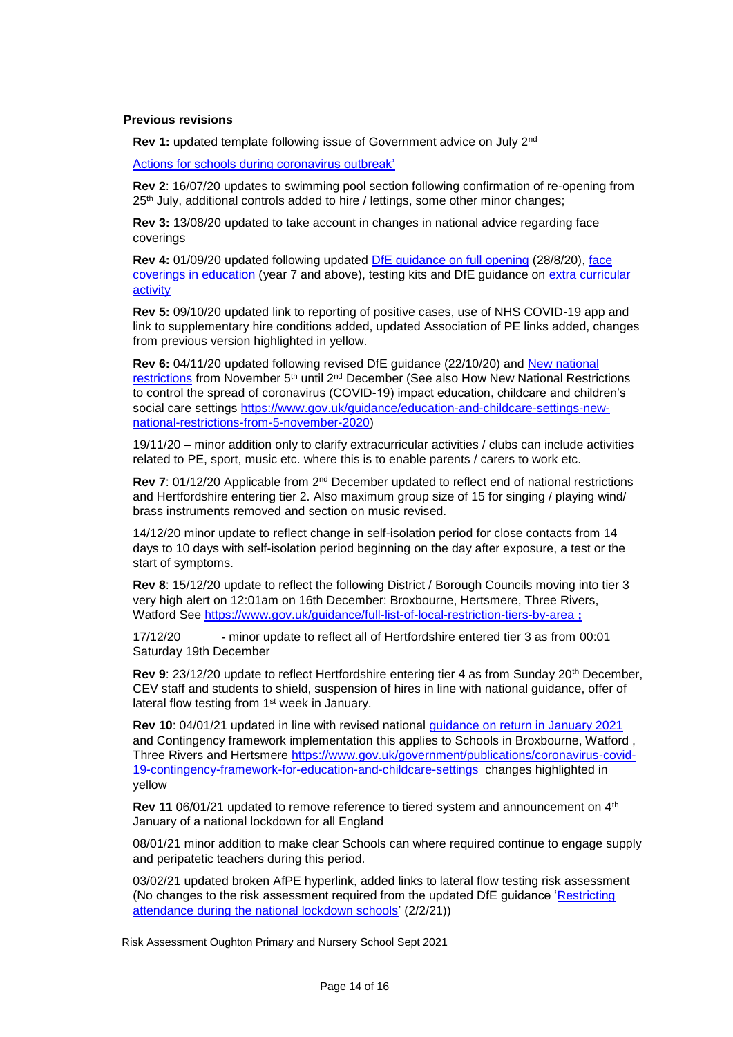#### **Previous revisions**

**Rev 1:** updated template following issue of Government advice on July 2nd

[Actions for schools during coronavirus outbreak'](https://www.gov.uk/government/publications/actions-for-schools-during-the-coronavirus-outbreak)

**Rev 2**: 16/07/20 updates to swimming pool section following confirmation of re-opening from 25<sup>th</sup> July, additional controls added to hire / lettings, some other minor changes;

**Rev 3:** 13/08/20 updated to take account in changes in national advice regarding face coverings

**Rev 4:** 01/09/20 updated following updated [DfE guidance on full opening](https://www.gov.uk/government/publications/actions-for-schools-during-the-coronavirus-outbreak/guidance-for-full-opening-schools) (28/8/20), [face](https://www.gov.uk/government/publications/face-coverings-in-education)  [coverings in education](https://www.gov.uk/government/publications/face-coverings-in-education) (year 7 and above), testing kits and DfE guidance on [extra curricular](https://www.gov.uk/government/publications/protective-measures-for-holiday-or-after-school-clubs-and-other-out-of-school-settings-for-children-during-the-coronavirus-covid-19-outbreak/protective-measures-for-out-of-school-settings-during-the-coronavirus-covid-19-outbreak)  [activity](https://www.gov.uk/government/publications/protective-measures-for-holiday-or-after-school-clubs-and-other-out-of-school-settings-for-children-during-the-coronavirus-covid-19-outbreak/protective-measures-for-out-of-school-settings-during-the-coronavirus-covid-19-outbreak)

**Rev 5:** 09/10/20 updated link to reporting of positive cases, use of NHS COVID-19 app and link to supplementary hire conditions added, updated Association of PE links added, changes from previous version highlighted in yellow.

**Rev 6:** 04/11/20 updated following revised DfE guidance (22/10/20) and [New national](https://www.gov.uk/guidance/new-national-restrictions-from-5-november)  [restrictions](https://www.gov.uk/guidance/new-national-restrictions-from-5-november) from November 5<sup>th</sup> until 2<sup>nd</sup> December (See also How New National Restrictions to control the spread of coronavirus (COVID-19) impact education, childcare and children's social care settings [https://www.gov.uk/guidance/education-and-childcare-settings-new](https://www.gov.uk/guidance/education-and-childcare-settings-new-national-restrictions-from-5-november-2020)[national-restrictions-from-5-november-2020\)](https://www.gov.uk/guidance/education-and-childcare-settings-new-national-restrictions-from-5-november-2020)

19/11/20 – minor addition only to clarify extracurricular activities / clubs can include activities related to PE, sport, music etc. where this is to enable parents / carers to work etc.

**Rev 7**: 01/12/20 Applicable from 2nd December updated to reflect end of national restrictions and Hertfordshire entering tier 2. Also maximum group size of 15 for singing / playing wind/ brass instruments removed and section on music revised.

14/12/20 minor update to reflect change in self-isolation period for close contacts from 14 days to 10 days with self-isolation period beginning on the day after exposure, a test or the start of symptoms.

**Rev 8**: 15/12/20 update to reflect the following District / Borough Councils moving into tier 3 very high alert on 12:01am on 16th December: Broxbourne, Hertsmere, Three Rivers, Watford See<https://www.gov.uk/guidance/full-list-of-local-restriction-tiers-by-area> **;** 

17/12/20 **-** minor update to reflect all of Hertfordshire entered tier 3 as from 00:01 Saturday 19th December

**Rev 9**: 23/12/20 update to reflect Hertfordshire entering tier 4 as from Sunday 20th December, CEV staff and students to shield, suspension of hires in line with national guidance, offer of lateral flow testing from 1<sup>st</sup> week in January.

**Rev 10**: 04/01/21 updated in line with revised national [guidance on return in January 2021](https://www.gov.uk/government/publications/schools-and-childcare-settings-return-in-january-2021/schools-and-childcare-settings-return-in-january-2021) and Contingency framework implementation this applies to Schools in Broxbourne, Watford , Three Rivers and Hertsmere [https://www.gov.uk/government/publications/coronavirus-covid-](https://www.gov.uk/government/publications/coronavirus-covid-19-contingency-framework-for-education-and-childcare-settings)[19-contingency-framework-for-education-and-childcare-settings](https://www.gov.uk/government/publications/coronavirus-covid-19-contingency-framework-for-education-and-childcare-settings) changes highlighted in yellow

**Rev 11** 06/01/21 updated to remove reference to tiered system and announcement on 4<sup>th</sup> January of a national lockdown for all England

08/01/21 minor addition to make clear Schools can where required continue to engage supply and peripatetic teachers during this period.

03/02/21 updated broken AfPE hyperlink, added links to lateral flow testing risk assessment (No changes to the risk assessment required from the updated DfE guidance 'Restricting [attendance during the national lockdown schools'](https://assets.publishing.service.gov.uk/government/uploads/system/uploads/attachment_data/file/957766/Restricting_attendance_during_the_national_lockdown-_schools.pdf) (2/2/21))

Risk Assessment Oughton Primary and Nursery School Sept 2021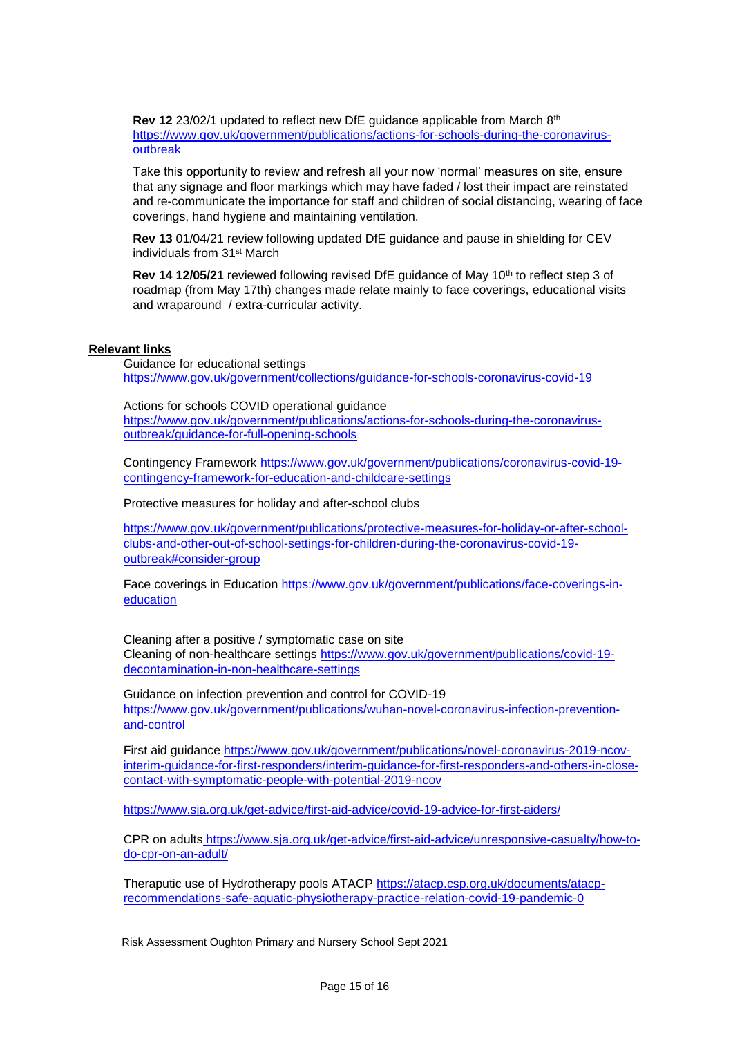**Rev 12** 23/02/1 updated to reflect new DfE guidance applicable from March 8th [https://www.gov.uk/government/publications/actions-for-schools-during-the-coronavirus](https://www.gov.uk/government/publications/actions-for-schools-during-the-coronavirus-outbreak)[outbreak](https://www.gov.uk/government/publications/actions-for-schools-during-the-coronavirus-outbreak)

Take this opportunity to review and refresh all your now 'normal' measures on site, ensure that any signage and floor markings which may have faded / lost their impact are reinstated and re-communicate the importance for staff and children of social distancing, wearing of face coverings, hand hygiene and maintaining ventilation.

**Rev 13** 01/04/21 review following updated DfE guidance and pause in shielding for CEV individuals from 31st March

**Rev 14 12/05/21** reviewed following revised DfE guidance of May 10<sup>th</sup> to reflect step 3 of roadmap (from May 17th) changes made relate mainly to face coverings, educational visits and wraparound / extra-curricular activity.

### **Relevant links**

Guidance for educational settings <https://www.gov.uk/government/collections/guidance-for-schools-coronavirus-covid-19>

Actions for schools COVID operational guidance [https://www.gov.uk/government/publications/actions-for-schools-during-the-coronavirus](https://www.gov.uk/government/publications/actions-for-schools-during-the-coronavirus-outbreak/guidance-for-full-opening-schools)[outbreak/guidance-for-full-opening-schools](https://www.gov.uk/government/publications/actions-for-schools-during-the-coronavirus-outbreak/guidance-for-full-opening-schools)

Contingency Framework [https://www.gov.uk/government/publications/coronavirus-covid-19](https://www.gov.uk/government/publications/coronavirus-covid-19-contingency-framework-for-education-and-childcare-settings) [contingency-framework-for-education-and-childcare-settings](https://www.gov.uk/government/publications/coronavirus-covid-19-contingency-framework-for-education-and-childcare-settings)

Protective measures for holiday and after-school clubs

[https://www.gov.uk/government/publications/protective-measures-for-holiday-or-after-school](https://www.gov.uk/government/publications/protective-measures-for-holiday-or-after-school-clubs-and-other-out-of-school-settings-for-children-during-the-coronavirus-covid-19-outbreak#consider-group)[clubs-and-other-out-of-school-settings-for-children-during-the-coronavirus-covid-19](https://www.gov.uk/government/publications/protective-measures-for-holiday-or-after-school-clubs-and-other-out-of-school-settings-for-children-during-the-coronavirus-covid-19-outbreak#consider-group) [outbreak#consider-group](https://www.gov.uk/government/publications/protective-measures-for-holiday-or-after-school-clubs-and-other-out-of-school-settings-for-children-during-the-coronavirus-covid-19-outbreak#consider-group)

Face coverings in Education [https://www.gov.uk/government/publications/face-coverings-in](https://www.gov.uk/government/publications/face-coverings-in-education)[education](https://www.gov.uk/government/publications/face-coverings-in-education)

Cleaning after a positive / symptomatic case on site Cleaning of non-healthcare settings [https://www.gov.uk/government/publications/covid-19](https://www.gov.uk/government/publications/covid-19-decontamination-in-non-healthcare-settings) [decontamination-in-non-healthcare-settings](https://www.gov.uk/government/publications/covid-19-decontamination-in-non-healthcare-settings)

Guidance on infection prevention and control for COVID-19 [https://www.gov.uk/government/publications/wuhan-novel-coronavirus-infection-prevention](https://www.gov.uk/government/publications/wuhan-novel-coronavirus-infection-prevention-and-control)[and-control](https://www.gov.uk/government/publications/wuhan-novel-coronavirus-infection-prevention-and-control)

First aid guidance [https://www.gov.uk/government/publications/novel-coronavirus-2019-ncov](https://www.gov.uk/government/publications/novel-coronavirus-2019-ncov-interim-guidance-for-first-responders/interim-guidance-for-first-responders-and-others-in-close-contact-with-symptomatic-people-with-potential-2019-ncov)[interim-guidance-for-first-responders/interim-guidance-for-first-responders-and-others-in-close](https://www.gov.uk/government/publications/novel-coronavirus-2019-ncov-interim-guidance-for-first-responders/interim-guidance-for-first-responders-and-others-in-close-contact-with-symptomatic-people-with-potential-2019-ncov)[contact-with-symptomatic-people-with-potential-2019-ncov](https://www.gov.uk/government/publications/novel-coronavirus-2019-ncov-interim-guidance-for-first-responders/interim-guidance-for-first-responders-and-others-in-close-contact-with-symptomatic-people-with-potential-2019-ncov)

<https://www.sja.org.uk/get-advice/first-aid-advice/covid-19-advice-for-first-aiders/>

CPR on adults https://www.sja.org.uk/get-advice/first-aid-advice/unresponsive-casualty/how-todo-cpr-on-an-adult/

Theraputic use of Hydrotherapy pools ATACP [https://atacp.csp.org.uk/documents/atacp](https://atacp.csp.org.uk/documents/atacp-recommendations-safe-aquatic-physiotherapy-practice-relation-covid-19-pandemic-0)[recommendations-safe-aquatic-physiotherapy-practice-relation-covid-19-pandemic-0](https://atacp.csp.org.uk/documents/atacp-recommendations-safe-aquatic-physiotherapy-practice-relation-covid-19-pandemic-0)

Risk Assessment Oughton Primary and Nursery School Sept 2021